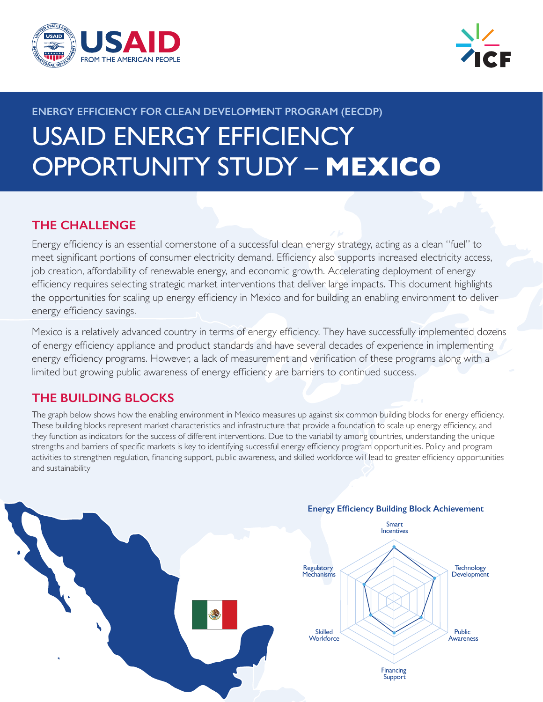



# **ENERGY EFFICIENCY FOR CLEAN DEVELOPMENT PROGRAM (EECDP)** USAID ENERGY EFFICIENCY OPPORTUNITY STUDY – **MEXICO**

# **THE CHALLENGE**

Energy efficiency is an essential cornerstone of a successful clean energy strategy, acting as a clean "fuel" to meet significant portions of consumer electricity demand. Efficiency also supports increased electricity access, job creation, affordability of renewable energy, and economic growth. Accelerating deployment of energy efficiency requires selecting strategic market interventions that deliver large impacts. This document highlights the opportunities for scaling up energy efficiency in Mexico and for building an enabling environment to deliver energy efficiency savings.

Mexico is a relatively advanced country in terms of energy efficiency. They have successfully implemented dozens of energy efficiency appliance and product standards and have several decades of experience in implementing energy efficiency programs. However, a lack of measurement and verification of these programs along with a limited but growing public awareness of energy efficiency are barriers to continued success.

# **THE BUILDING BLOCKS**

The graph below shows how the enabling environment in Mexico measures up against six common building blocks for energy efficiency. These building blocks represent market characteristics and infrastructure that provide a foundation to scale up energy efficiency, and they function as indicators for the success of different interventions. Due to the variability among countries, understanding the unique strengths and barriers of specific markets is key to identifying successful energy efficiency program opportunities. Policy and program activities to strengthen regulation, financing support, public awareness, and skilled workforce will lead to greater efficiency opportunities and sustainability